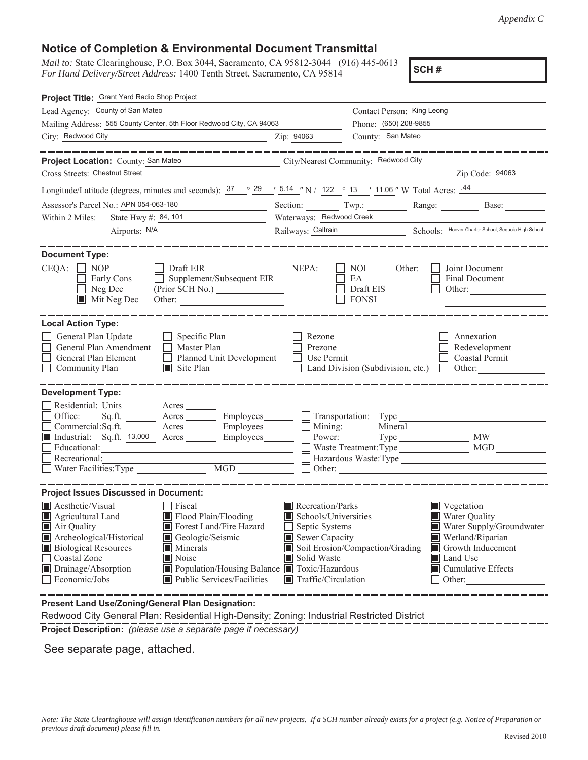## **Notice of Completion & Environmental Document Transmittal**

*Mail to:* State Clearinghouse, P.O. Box 3044, Sacramento, CA 95812-3044 (916) 445-0613 *For Hand Delivery/Street Address:* 1400 Tenth Street, Sacramento, CA 95814

**SCH #**

| Project Title: Grant Yard Radio Shop Project                                                                                                                                                                                                                                                                                                                     |                                                                                                                    |                                            |                                                                                                                                                                                                 |  |
|------------------------------------------------------------------------------------------------------------------------------------------------------------------------------------------------------------------------------------------------------------------------------------------------------------------------------------------------------------------|--------------------------------------------------------------------------------------------------------------------|--------------------------------------------|-------------------------------------------------------------------------------------------------------------------------------------------------------------------------------------------------|--|
| Lead Agency: County of San Mateo                                                                                                                                                                                                                                                                                                                                 |                                                                                                                    | Contact Person: King Leong                 |                                                                                                                                                                                                 |  |
| Mailing Address: 555 County Center, 5th Floor Redwood City, CA 94063                                                                                                                                                                                                                                                                                             |                                                                                                                    | Phone: (650) 208-9855<br>County: San Mateo |                                                                                                                                                                                                 |  |
| City: Redwood City<br><u>2ip: 94063</u>                                                                                                                                                                                                                                                                                                                          |                                                                                                                    |                                            |                                                                                                                                                                                                 |  |
| Project Location: County: San Mateo<br>City/Nearest Community: Redwood City                                                                                                                                                                                                                                                                                      |                                                                                                                    |                                            | -------------                                                                                                                                                                                   |  |
| Cross Streets: Chestnut Street                                                                                                                                                                                                                                                                                                                                   |                                                                                                                    |                                            | Zip Code: 94063                                                                                                                                                                                 |  |
| Longitude/Latitude (degrees, minutes and seconds): $37 \degree$ $29 \degree$ $\frac{5.14}{\degree}$ N / 122 $\degree$ 13 $\degree$ 11.06 " W Total Acres: $44 \degree$                                                                                                                                                                                           |                                                                                                                    |                                            |                                                                                                                                                                                                 |  |
| Assessor's Parcel No.: APN 054-063-180<br><u> 1990 - John Barn Barn, mars and de la partie de la partie de la partie de la partie de la partie de la partie</u>                                                                                                                                                                                                  |                                                                                                                    |                                            | Base:                                                                                                                                                                                           |  |
| Within 2 Miles:                                                                                                                                                                                                                                                                                                                                                  | Waterways: Redwood Creek                                                                                           |                                            |                                                                                                                                                                                                 |  |
|                                                                                                                                                                                                                                                                                                                                                                  | Railways: Caltrain Schools: Hoover Charter School, Sequoia High School                                             |                                            |                                                                                                                                                                                                 |  |
| <b>Document Type:</b><br>$CEQA: \Box NOP$<br>$\Box$ Draft EIR                                                                                                                                                                                                                                                                                                    | NEPA:                                                                                                              | NOI<br>Other:<br>EA                        | Joint Document                                                                                                                                                                                  |  |
| Supplement/Subsequent EIR<br>Early Cons<br>$\Box$ Neg Dec<br>$\blacksquare$ Mit Neg Dec<br>Other:                                                                                                                                                                                                                                                                |                                                                                                                    | Draft EIS<br><b>FONSI</b>                  | Final Document<br>Other: $\qquad \qquad$                                                                                                                                                        |  |
| <b>Local Action Type:</b>                                                                                                                                                                                                                                                                                                                                        |                                                                                                                    |                                            |                                                                                                                                                                                                 |  |
| General Plan Update<br>$\Box$ Specific Plan<br>General Plan Amendment<br>$\Box$ Master Plan<br>General Plan Element<br>Planned Unit Development<br>$\Box$ Community Plan<br>$\blacksquare$ Site Plan                                                                                                                                                             | Rezone<br>Prezone<br>$\Box$ Use Permit                                                                             |                                            | Annexation<br>Redevelopment<br>Coastal Permit<br>Land Division (Subdivision, etc.) $\Box$ Other:                                                                                                |  |
| <b>Development Type:</b><br>Residential: Units _______ Acres ______<br>Office:<br>Acres Employees Transportation: Type<br>Sq.ft.<br>Acres Employees Mining:<br>Commercial:Sq.ft.<br>Industrial: Sq.ft. 13,000 Acres Employees<br>Recreational:<br>Water Facilities: Type<br>MGD NGC 2007                                                                         | Power:                                                                                                             | Mineral<br>Waste Treatment: Type<br>Other: | MGD<br>Hazardous Waste:Type                                                                                                                                                                     |  |
| <b>Project Issues Discussed in Document:</b>                                                                                                                                                                                                                                                                                                                     |                                                                                                                    |                                            |                                                                                                                                                                                                 |  |
| <b>Aesthetic/Visual</b><br>Fiscal<br>Flood Plain/Flooding<br>Agricultural Land<br>Air Quality<br>Forest Land/Fire Hazard<br>Archeological/Historical<br>Geologic/Seismic<br><b>Biological Resources</b><br>Minerals<br>Coastal Zone<br>Noise<br>Drainage/Absorption<br>Population/Housing Balance Toxic/Hazardous<br>Economic/Jobs<br>Public Services/Facilities | Recreation/Parks<br>Schools/Universities<br>Septic Systems<br>Sewer Capacity<br>Solid Waste<br>Traffic/Circulation | Soil Erosion/Compaction/Grading            | Vegetation<br>Water Quality<br>$\hfill\blacksquare$ Water Supply/Groundwater<br>Wetland/Riparian<br>Growth Inducement<br>LЦ<br><b>I</b> Land Use<br>$\blacksquare$ Cumulative Effects<br>Other: |  |

**Present Land Use/Zoning/General Plan Designation:**

Redwood City General Plan: Residential High-Density; Zoning: Industrial Restricted District

**Project Description:** *(please use a separate page if necessary)*

See separate page, attached.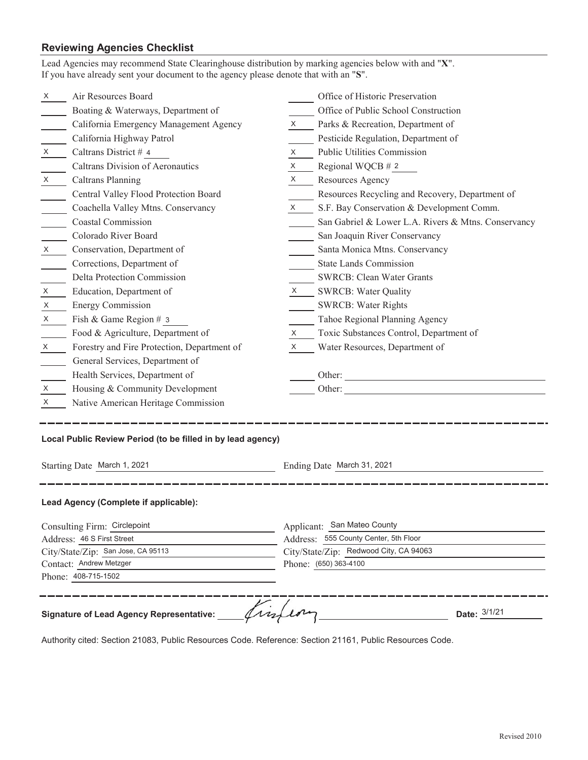## **Reviewing Agencies Checklist**

| X                                                                                                                           |                                                             |                                                                                                                                         |                                                     |  |  |                     |  |  |
|-----------------------------------------------------------------------------------------------------------------------------|-------------------------------------------------------------|-----------------------------------------------------------------------------------------------------------------------------------------|-----------------------------------------------------|--|--|---------------------|--|--|
|                                                                                                                             | Air Resources Board                                         |                                                                                                                                         | Office of Historic Preservation                     |  |  |                     |  |  |
|                                                                                                                             | Boating & Waterways, Department of                          |                                                                                                                                         | Office of Public School Construction                |  |  |                     |  |  |
|                                                                                                                             | California Emergency Management Agency                      | X                                                                                                                                       | Parks & Recreation, Department of                   |  |  |                     |  |  |
|                                                                                                                             | California Highway Patrol                                   |                                                                                                                                         | Pesticide Regulation, Department of                 |  |  |                     |  |  |
| X                                                                                                                           | Caltrans District # 4                                       | X                                                                                                                                       | Public Utilities Commission                         |  |  |                     |  |  |
|                                                                                                                             | Caltrans Division of Aeronautics                            | X                                                                                                                                       | Regional WQCB $# 2$                                 |  |  |                     |  |  |
| $X \sim$                                                                                                                    | Caltrans Planning                                           | $X \sim$                                                                                                                                | Resources Agency                                    |  |  |                     |  |  |
|                                                                                                                             | Central Valley Flood Protection Board                       |                                                                                                                                         | Resources Recycling and Recovery, Department of     |  |  |                     |  |  |
|                                                                                                                             | Coachella Valley Mtns. Conservancy                          | X                                                                                                                                       | S.F. Bay Conservation & Development Comm.           |  |  |                     |  |  |
|                                                                                                                             | <b>Coastal Commission</b>                                   |                                                                                                                                         | San Gabriel & Lower L.A. Rivers & Mtns. Conservancy |  |  |                     |  |  |
|                                                                                                                             | Colorado River Board                                        |                                                                                                                                         | San Joaquin River Conservancy                       |  |  |                     |  |  |
| $X \sim$                                                                                                                    | Conservation, Department of                                 |                                                                                                                                         | Santa Monica Mtns. Conservancy                      |  |  |                     |  |  |
|                                                                                                                             | Corrections, Department of                                  |                                                                                                                                         | <b>State Lands Commission</b>                       |  |  |                     |  |  |
|                                                                                                                             | Delta Protection Commission                                 |                                                                                                                                         | <b>SWRCB: Clean Water Grants</b>                    |  |  |                     |  |  |
| X                                                                                                                           | Education, Department of                                    | $X \sim$                                                                                                                                | <b>SWRCB: Water Quality</b>                         |  |  |                     |  |  |
| X                                                                                                                           | <b>Energy Commission</b>                                    |                                                                                                                                         | <b>SWRCB: Water Rights</b>                          |  |  |                     |  |  |
| X                                                                                                                           | Fish & Game Region # 3                                      |                                                                                                                                         | Tahoe Regional Planning Agency                      |  |  |                     |  |  |
|                                                                                                                             | Food & Agriculture, Department of                           | X                                                                                                                                       | Toxic Substances Control, Department of             |  |  |                     |  |  |
| X                                                                                                                           | Forestry and Fire Protection, Department of                 | X                                                                                                                                       | Water Resources, Department of                      |  |  |                     |  |  |
|                                                                                                                             | General Services, Department of                             |                                                                                                                                         |                                                     |  |  |                     |  |  |
|                                                                                                                             | Health Services, Department of                              |                                                                                                                                         | Other:                                              |  |  |                     |  |  |
| X                                                                                                                           | Housing & Community Development                             |                                                                                                                                         | Other:                                              |  |  |                     |  |  |
| X                                                                                                                           | Native American Heritage Commission                         |                                                                                                                                         |                                                     |  |  |                     |  |  |
|                                                                                                                             | Local Public Review Period (to be filled in by lead agency) |                                                                                                                                         |                                                     |  |  |                     |  |  |
| Starting Date March 1, 2021                                                                                                 |                                                             | Ending Date March 31, 2021                                                                                                              |                                                     |  |  |                     |  |  |
|                                                                                                                             | Lead Agency (Complete if applicable):                       |                                                                                                                                         |                                                     |  |  |                     |  |  |
|                                                                                                                             |                                                             |                                                                                                                                         |                                                     |  |  |                     |  |  |
| Consulting Firm: Circlepoint<br>Address: 46 S First Street<br>City/State/Zip: San Jose, CA 95113<br>Contact: Andrew Metzger |                                                             | Applicant: San Mateo County<br>Address: 555 County Center, 5th Floor<br>City/State/Zip: Redwood City, CA 94063<br>Phone: (650) 363-4100 |                                                     |  |  |                     |  |  |
|                                                                                                                             |                                                             |                                                                                                                                         |                                                     |  |  | Phone: 408-715-1502 |  |  |
|                                                                                                                             |                                                             |                                                                                                                                         |                                                     |  |  |                     |  |  |
|                                                                                                                             |                                                             |                                                                                                                                         |                                                     |  |  |                     |  |  |

Authority cited: Section 21083, Public Resources Code. Reference: Section 21161, Public Resources Code.